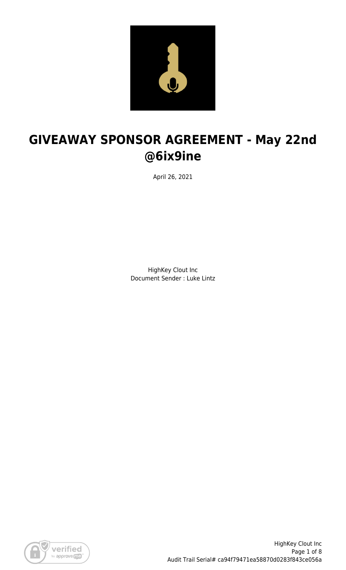

# **GIVEAWAY SPONSOR AGREEMENT - May 22nd @6ix9ine**

April 26, 2021

HighKey Clout Inc Document Sender : Luke Lintz

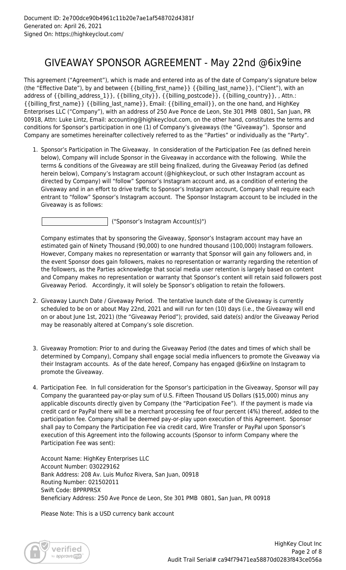## GIVEAWAY SPONSOR AGREEMENT - May 22nd @6ix9ine

This agreement ("Agreement"), which is made and entered into as of the date of Company's signature below (the "Effective Date"), by and between {{billing\_first\_name}} {{billing\_last\_name}}, ("Client"), with an address of {{billing\_address\_1}}, {{billing\_city}}, {{billing\_postcode}}, {{billing\_country}}, , Attn.: {{billing\_first\_name}} {{billing\_last\_name}}, Email: {{billing\_email}}, on the one hand, and HighKey Enterprises LLC ("Company"), with an address of 250 Ave Ponce de Leon, Ste 301 PMB 0801, San Juan, PR 00918, Attn: Luke Lintz, Email: accounting@highkeyclout.com, on the other hand, constitutes the terms and conditions for Sponsor's participation in one (1) of Company's giveaways (the "Giveaway"). Sponsor and Company are sometimes hereinafter collectively referred to as the "Parties" or individually as the "Party".

1. Sponsor's Participation in The Giveaway. In consideration of the Participation Fee (as defined herein below), Company will include Sponsor in the Giveaway in accordance with the following. While the terms & conditions of the Giveaway are still being finalized, during the Giveaway Period (as defined herein below), Company's Instagram account (@highkeyclout, or such other Instagram account as directed by Company) will "follow" Sponsor's Instagram account and, as a condition of entering the Giveaway and in an effort to drive traffic to Sponsor's Instagram account, Company shall require each entrant to "follow" Sponsor's Instagram account. The Sponsor Instagram account to be included in the Giveaway is as follows:

("Sponsor's Instagram Account(s)")

Company estimates that by sponsoring the Giveaway, Sponsor's Instagram account may have an estimated gain of Ninety Thousand (90,000) to one hundred thousand (100,000) Instagram followers. However, Company makes no representation or warranty that Sponsor will gain any followers and, in the event Sponsor does gain followers, makes no representation or warranty regarding the retention of the followers, as the Parties acknowledge that social media user retention is largely based on content and Company makes no representation or warranty that Sponsor's content will retain said followers post Giveaway Period. Accordingly, it will solely be Sponsor's obligation to retain the followers.

- 2. Giveaway Launch Date / Giveaway Period. The tentative launch date of the Giveaway is currently scheduled to be on or about May 22nd, 2021 and will run for ten (10) days (i.e., the Giveaway will end on or about June 1st, 2021) (the "Giveaway Period"); provided, said date(s) and/or the Giveaway Period may be reasonably altered at Company's sole discretion.
- 3. Giveaway Promotion: Prior to and during the Giveaway Period (the dates and times of which shall be determined by Company), Company shall engage social media influencers to promote the Giveaway via their Instagram accounts. As of the date hereof, Company has engaged @6ix9ine on Instagram to promote the Giveaway.
- 4. Participation Fee. In full consideration for the Sponsor's participation in the Giveaway, Sponsor will pay Company the guaranteed pay-or-play sum of U.S. Fifteen Thousand US Dollars (\$15,000) minus any applicable discounts directly given by Company (the "Participation Fee"). If the payment is made via credit card or PayPal there will be a merchant processing fee of four percent (4%) thereof, added to the participation fee. Company shall be deemed pay-or-play upon execution of this Agreement. Sponsor shall pay to Company the Participation Fee via credit card, Wire Transfer or PayPal upon Sponsor's execution of this Agreement into the following accounts (Sponsor to inform Company where the Participation Fee was sent):

Account Name: HighKey Enterprises LLC Account Number: 030229162 Bank Address: 208 Av. Luis Muñoz Rivera, San Juan, 00918 Routing Number: 021502011 Swift Code: BPPRPRSX Beneficiary Address: 250 Ave Ponce de Leon, Ste 301 PMB 0801, San Juan, PR 00918

Please Note: This is a USD currency bank account

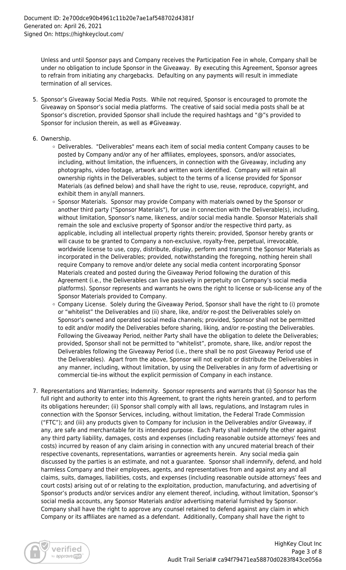Unless and until Sponsor pays and Company receives the Participation Fee in whole, Company shall be under no obligation to include Sponsor in the Giveaway. By executing this Agreement, Sponsor agrees to refrain from initiating any chargebacks. Defaulting on any payments will result in immediate termination of all services.

- 5. Sponsor's Giveaway Social Media Posts. While not required, Sponsor is encouraged to promote the Giveaway on Sponsor's social media platforms. The creative of said social media posts shall be at Sponsor's discretion, provided Sponsor shall include the required hashtags and "@"s provided to Sponsor for inclusion therein, as well as #Giveaway.
- 6. Ownership.
	- Deliverables. "Deliverables" means each item of social media content Company causes to be posted by Company and/or any of her affiliates, employees, sponsors, and/or associates, including, without limitation, the influencers, in connection with the Giveaway, including any photographs, video footage, artwork and written work identified. Company will retain all ownership rights in the Deliverables, subject to the terms of a license provided for Sponsor Materials (as defined below) and shall have the right to use, reuse, reproduce, copyright, and exhibit them in any/all manners.
	- o Sponsor Materials. Sponsor may provide Company with materials owned by the Sponsor or another third party ("Sponsor Materials"), for use in connection with the Deliverable(s), including, without limitation, Sponsor's name, likeness, and/or social media handle. Sponsor Materials shall remain the sole and exclusive property of Sponsor and/or the respective third party, as applicable, including all intellectual property rights therein; provided, Sponsor hereby grants or will cause to be granted to Company a non-exclusive, royalty-free, perpetual, irrevocable, worldwide license to use, copy, distribute, display, perform and transmit the Sponsor Materials as incorporated in the Deliverables; provided, notwithstanding the foregoing, nothing herein shall require Company to remove and/or delete any social media content incorporating Sponsor Materials created and posted during the Giveaway Period following the duration of this Agreement (i.e., the Deliverables can live passively in perpetuity on Company's social media platforms). Sponsor represents and warrants he owns the right to license or sub-license any of the Sponsor Materials provided to Company.
	- o Company License. Solely during the Giveaway Period, Sponsor shall have the right to (i) promote or "whitelist" the Deliverables and (ii) share, like, and/or re-post the Deliverables solely on Sponsor's owned and operated social media channels; provided, Sponsor shall not be permitted to edit and/or modify the Deliverables before sharing, liking, and/or re-posting the Deliverables. Following the Giveaway Period, neither Party shall have the obligation to delete the Deliverables; provided, Sponsor shall not be permitted to "whitelist", promote, share, like, and/or repost the Deliverables following the Giveaway Period (i.e., there shall be no post Giveaway Period use of the Deliverables). Apart from the above, Sponsor will not exploit or distribute the Deliverables in any manner, including, without limitation, by using the Deliverables in any form of advertising or commercial tie-ins without the explicit permission of Company in each instance.
- 7. Representations and Warranties; Indemnity. Sponsor represents and warrants that (i) Sponsor has the full right and authority to enter into this Agreement, to grant the rights herein granted, and to perform its obligations hereunder; (ii) Sponsor shall comply with all laws, regulations, and Instagram rules in connection with the Sponsor Services, including, without limitation, the Federal Trade Commission ("FTC"); and (iii) any products given to Company for inclusion in the Deliverables and/or Giveaway, if any, are safe and merchantable for its intended purpose. Each Party shall indemnify the other against any third party liability, damages, costs and expenses (including reasonable outside attorneys' fees and costs) incurred by reason of any claim arising in connection with any uncured material breach of their respective covenants, representations, warranties or agreements herein. Any social media gain discussed by the parties is an estimate, and not a guarantee. Sponsor shall indemnify, defend, and hold harmless Company and their employees, agents, and representatives from and against any and all claims, suits, damages, liabilities, costs, and expenses (including reasonable outside attorneys' fees and court costs) arising out of or relating to the exploitation, production, manufacturing, and advertising of Sponsor's products and/or services and/or any element thereof, including, without limitation, Sponsor's social media accounts, any Sponsor Materials and/or advertising material furnished by Sponsor. Company shall have the right to approve any counsel retained to defend against any claim in which Company or its affiliates are named as a defendant. Additionally, Company shall have the right to

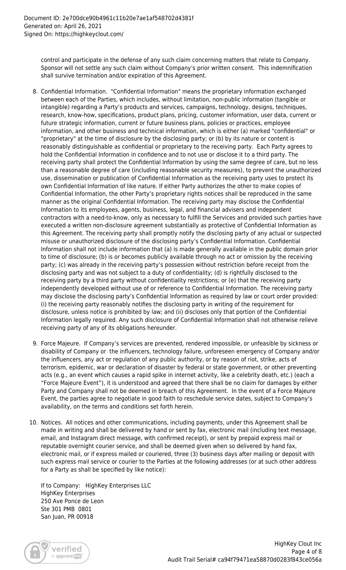control and participate in the defense of any such claim concerning matters that relate to Company. Sponsor will not settle any such claim without Company's prior written consent. This indemnification shall survive termination and/or expiration of this Agreement.

- 8. Confidential Information. "Confidential Information" means the proprietary information exchanged between each of the Parties, which includes, without limitation, non-public information (tangible or intangible) regarding a Party's products and services, campaigns, technology, designs, techniques, research, know-how, specifications, product plans, pricing, customer information, user data, current or future strategic information, current or future business plans, policies or practices, employee information, and other business and technical information, which is either (a) marked "confidential" or "proprietary" at the time of disclosure by the disclosing party; or (b) by its nature or content is reasonably distinguishable as confidential or proprietary to the receiving party. Each Party agrees to hold the Confidential Information in confidence and to not use or disclose it to a third party. The receiving party shall protect the Confidential Information by using the same degree of care, but no less than a reasonable degree of care (including reasonable security measures), to prevent the unauthorized use, dissemination or publication of Confidential Information as the receiving party uses to protect its own Confidential Information of like nature. If either Party authorizes the other to make copies of Confidential Information, the other Party's proprietary rights notices shall be reproduced in the same manner as the original Confidential Information. The receiving party may disclose the Confidential Information to its employees, agents, business, legal, and financial advisers and independent contractors with a need-to-know, only as necessary to fulfill the Services and provided such parties have executed a written non-disclosure agreement substantially as protective of Confidential Information as this Agreement. The receiving party shall promptly notify the disclosing party of any actual or suspected misuse or unauthorized disclosure of the disclosing party's Confidential Information. Confidential Information shall not include information that (a) is made generally available in the public domain prior to time of disclosure; (b) is or becomes publicly available through no act or omission by the receiving party; (c) was already in the receiving party's possession without restriction before receipt from the disclosing party and was not subject to a duty of confidentiality; (d) is rightfully disclosed to the receiving party by a third party without confidentiality restrictions; or (e) that the receiving party independently developed without use of or reference to Confidential Information. The receiving party may disclose the disclosing party's Confidential Information as required by law or court order provided: (i) the receiving party reasonably notifies the disclosing party in writing of the requirement for disclosure, unless notice is prohibited by law; and (ii) discloses only that portion of the Confidential Information legally required. Any such disclosure of Confidential Information shall not otherwise relieve receiving party of any of its obligations hereunder.
- 9. Force Majeure. If Company's services are prevented, rendered impossible, or unfeasible by sickness or disability of Company or the influencers, technology failure, unforeseen emergency of Company and/or the influencers, any act or regulation of any public authority, or by reason of riot, strike, acts of terrorism, epidemic, war or declaration of disaster by federal or state government, or other preventing acts (e.g., an event which causes a rapid spike in internet activity, like a celebrity death, etc.) (each a "Force Majeure Event"), it is understood and agreed that there shall be no claim for damages by either Party and Company shall not be deemed in breach of this Agreement. In the event of a Force Majeure Event, the parties agree to negotiate in good faith to reschedule service dates, subject to Company's availability, on the terms and conditions set forth herein.
- 10. Notices. All notices and other communications, including payments, under this Agreement shall be made in writing and shall be delivered by hand or sent by fax, electronic mail (including text message, email, and Instagram direct message, with confirmed receipt), or sent by prepaid express mail or reputable overnight courier service, and shall be deemed given when so delivered by hand fax, electronic mail, or if express mailed or couriered, three (3) business days after mailing or deposit with such express mail service or courier to the Parties at the following addresses (or at such other address for a Party as shall be specified by like notice):

If to Company: HighKey Enterprises LLC HighKey Enterprises 250 Ave Ponce de Leon Ste 301 PMB 0801 San Juan, PR 00918

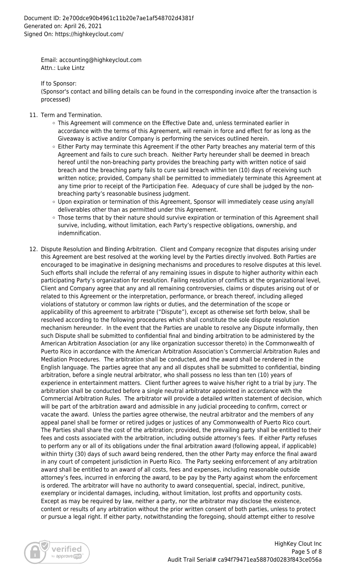Email: accounting@highkeyclout.com Attn.: Luke Lintz

If to Sponsor:

(Sponsor's contact and billing details can be found in the corresponding invoice after the transaction is processed)

- 11. Term and Termination.
	- This Agreement will commence on the Effective Date and, unless terminated earlier in accordance with the terms of this Agreement, will remain in force and effect for as long as the Giveaway is active and/or Company is performing the services outlined herein.
	- $\circ$  Either Party may terminate this Agreement if the other Party breaches any material term of this Agreement and fails to cure such breach. Neither Party hereunder shall be deemed in breach hereof until the non-breaching party provides the breaching party with written notice of said breach and the breaching party fails to cure said breach within ten (10) days of receiving such written notice; provided, Company shall be permitted to immediately terminate this Agreement at any time prior to receipt of the Participation Fee. Adequacy of cure shall be judged by the nonbreaching party's reasonable business judgment.
	- Upon expiration or termination of this Agreement, Sponsor will immediately cease using any/all deliverables other than as permitted under this Agreement.
	- Those terms that by their nature should survive expiration or termination of this Agreement shall survive, including, without limitation, each Party's respective obligations, ownership, and indemnification.
- 12. Dispute Resolution and Binding Arbitration. Client and Company recognize that disputes arising under this Agreement are best resolved at the working level by the Parties directly involved. Both Parties are encouraged to be imaginative in designing mechanisms and procedures to resolve disputes at this level. Such efforts shall include the referral of any remaining issues in dispute to higher authority within each participating Party's organization for resolution. Failing resolution of conflicts at the organizational level, Client and Company agree that any and all remaining controversies, claims or disputes arising out of or related to this Agreement or the interpretation, performance, or breach thereof, including alleged violations of statutory or common law rights or duties, and the determination of the scope or applicability of this agreement to arbitrate ("Dispute"), except as otherwise set forth below, shall be resolved according to the following procedures which shall constitute the sole dispute resolution mechanism hereunder. In the event that the Parties are unable to resolve any Dispute informally, then such Dispute shall be submitted to confidential final and binding arbitration to be administered by the American Arbitration Association (or any like organization successor thereto) in the Commonwealth of Puerto Rico in accordance with the American Arbitration Association's Commercial Arbitration Rules and Mediation Procedures. The arbitration shall be conducted, and the award shall be rendered in the English language. The parties agree that any and all disputes shall be submitted to confidential, binding arbitration, before a single neutral arbitrator, who shall possess no less than ten (10) years of experience in entertainment matters. Client further agrees to waive his/her right to a trial by jury. The arbitration shall be conducted before a single neutral arbitrator appointed in accordance with the Commercial Arbitration Rules. The arbitrator will provide a detailed written statement of decision, which will be part of the arbitration award and admissible in any judicial proceeding to confirm, correct or vacate the award. Unless the parties agree otherwise, the neutral arbitrator and the members of any appeal panel shall be former or retired judges or justices of any Commonwealth of Puerto Rico court. The Parties shall share the cost of the arbitration; provided, the prevailing party shall be entitled to their fees and costs associated with the arbitration, including outside attorney's fees. If either Party refuses to perform any or all of its obligations under the final arbitration award (following appeal, if applicable) within thirty (30) days of such award being rendered, then the other Party may enforce the final award in any court of competent jurisdiction in Puerto Rico. The Party seeking enforcement of any arbitration award shall be entitled to an award of all costs, fees and expenses, including reasonable outside attorney's fees, incurred in enforcing the award, to be pay by the Party against whom the enforcement is ordered. The arbitrator will have no authority to award consequential, special, indirect, punitive, exemplary or incidental damages, including, without limitation, lost profits and opportunity costs. Except as may be required by law, neither a party, nor the arbitrator may disclose the existence, content or results of any arbitration without the prior written consent of both parties, unless to protect or pursue a legal right. If either party, notwithstanding the foregoing, should attempt either to resolve

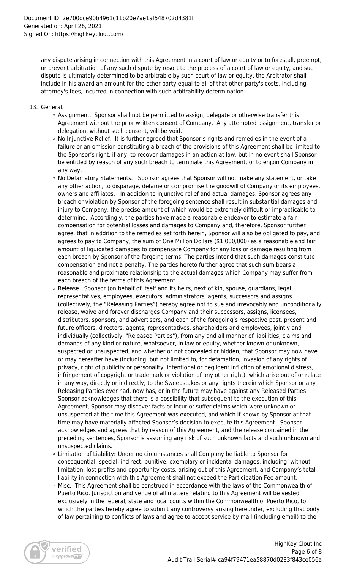any dispute arising in connection with this Agreement in a court of law or equity or to forestall, preempt, or prevent arbitration of any such dispute by resort to the process of a court of law or equity, and such dispute is ultimately determined to be arbitrable by such court of law or equity, the Arbitrator shall include in his award an amount for the other party equal to all of that other party's costs, including attorney's fees, incurred in connection with such arbitrability determination.

- 13. General.
	- $\circ$  Assignment. Sponsor shall not be permitted to assign, delegate or otherwise transfer this Agreement without the prior written consent of Company. Any attempted assignment, transfer or delegation, without such consent, will be void.
	- $\circ$  No Injunctive Relief. It is further agreed that Sponsor's rights and remedies in the event of a failure or an omission constituting a breach of the provisions of this Agreement shall be limited to the Sponsor's right, if any, to recover damages in an action at law, but in no event shall Sponsor be entitled by reason of any such breach to terminate this Agreement, or to enjoin Company in any way.
	- $\circ$  No Defamatory Statements. Sponsor agrees that Sponsor will not make any statement, or take any other action, to disparage, defame or compromise the goodwill of Company or its employees, owners and affiliates. In addition to injunctive relief and actual damages, Sponsor agrees any breach or violation by Sponsor of the foregoing sentence shall result in substantial damages and injury to Company, the precise amount of which would be extremely difficult or impracticable to determine. Accordingly, the parties have made a reasonable endeavor to estimate a fair compensation for potential losses and damages to Company and, therefore, Sponsor further agree, that in addition to the remedies set forth herein, Sponsor will also be obligated to pay, and agrees to pay to Company, the sum of One Million Dollars (\$1,000,000) as a reasonable and fair amount of liquidated damages to compensate Company for any loss or damage resulting from each breach by Sponsor of the forgoing terms. The parties intend that such damages constitute compensation and not a penalty. The parties hereto further agree that such sum bears a reasonable and proximate relationship to the actual damages which Company may suffer from each breach of the terms of this Agreement.
	- $\circ$  Release. Sponsor (on behalf of itself and its heirs, next of kin, spouse, guardians, legal representatives, employees, executors, administrators, agents, successors and assigns (collectively, the "Releasing Parties") hereby agree not to sue and irrevocably and unconditionally release, waive and forever discharges Company and their successors, assigns, licensees, distributors, sponsors, and advertisers, and each of the foregoing's respective past, present and future officers, directors, agents, representatives, shareholders and employees, jointly and individually (collectively, "Released Parties"), from any and all manner of liabilities, claims and demands of any kind or nature, whatsoever, in law or equity, whether known or unknown, suspected or unsuspected, and whether or not concealed or hidden, that Sponsor may now have or may hereafter have (including, but not limited to, for defamation, invasion of any rights of privacy, right of publicity or personality, intentional or negligent infliction of emotional distress, infringement of copyright or trademark or violation of any other right), which arise out of or relate in any way, directly or indirectly, to the Sweepstakes or any rights therein which Sponsor or any Releasing Parties ever had, now has, or in the future may have against any Released Parties. Sponsor acknowledges that there is a possibility that subsequent to the execution of this Agreement, Sponsor may discover facts or incur or suffer claims which were unknown or unsuspected at the time this Agreement was executed, and which if known by Sponsor at that time may have materially affected Sponsor's decision to execute this Agreement. Sponsor acknowledges and agrees that by reason of this Agreement, and the release contained in the preceding sentences, Sponsor is assuming any risk of such unknown facts and such unknown and unsuspected claims.
	- Limitation of Liability**:** Under no circumstances shall Company be liable to Sponsor for consequential, special, indirect, punitive, exemplary or incidental damages, including, without limitation, lost profits and opportunity costs, arising out of this Agreement, and Company's total liability in connection with this Agreement shall not exceed the Participation Fee amount.
	- $\circ$  Misc. This Agreement shall be construed in accordance with the laws of the Commonwealth of Puerto Rico. Jurisdiction and venue of all matters relating to this Agreement will be vested exclusively in the federal, state and local courts within the Commonwealth of Puerto Rico, to which the parties hereby agree to submit any controversy arising hereunder, excluding that body of law pertaining to conflicts of laws and agree to accept service by mail (including email) to the

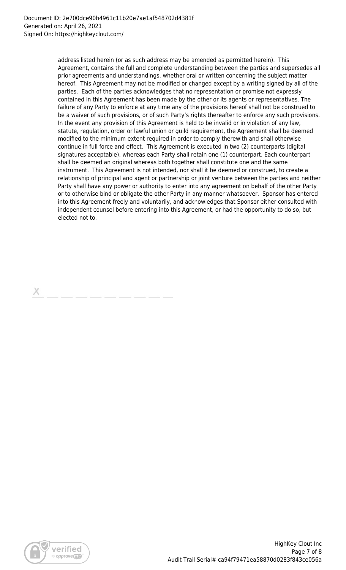address listed herein (or as such address may be amended as permitted herein). This Agreement, contains the full and complete understanding between the parties and supersedes all prior agreements and understandings, whether oral or written concerning the subject matter hereof. This Agreement may not be modified or changed except by a writing signed by all of the parties. Each of the parties acknowledges that no representation or promise not expressly contained in this Agreement has been made by the other or its agents or representatives. The failure of any Party to enforce at any time any of the provisions hereof shall not be construed to be a waiver of such provisions, or of such Party's rights thereafter to enforce any such provisions. In the event any provision of this Agreement is held to be invalid or in violation of any law, statute, regulation, order or lawful union or guild requirement, the Agreement shall be deemed modified to the minimum extent required in order to comply therewith and shall otherwise continue in full force and effect. This Agreement is executed in two (2) counterparts (digital signatures acceptable), whereas each Party shall retain one (1) counterpart. Each counterpart shall be deemed an original whereas both together shall constitute one and the same instrument. This Agreement is not intended, nor shall it be deemed or construed, to create a relationship of principal and agent or partnership or joint venture between the parties and neither Party shall have any power or authority to enter into any agreement on behalf of the other Party or to otherwise bind or obligate the other Party in any manner whatsoever. Sponsor has entered into this Agreement freely and voluntarily, and acknowledges that Sponsor either consulted with independent counsel before entering into this Agreement, or had the opportunity to do so, but elected not to.

Х